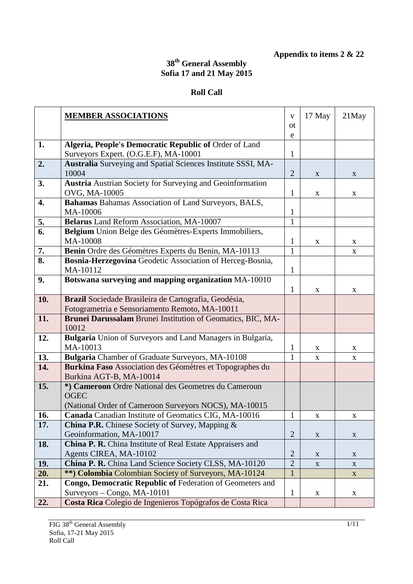**Appendix to items 2 & 22** 

## **38th General Assembly Sofia 17 and 21 May 2015**

## **Roll Call**

|     | <b>MEMBER ASSOCIATIONS</b>                                                        | V                 | 17 May      | $21$ May    |
|-----|-----------------------------------------------------------------------------------|-------------------|-------------|-------------|
|     |                                                                                   | 0t                |             |             |
|     |                                                                                   | e                 |             |             |
| 1.  | Algeria, People's Democratic Republic of Order of Land                            |                   |             |             |
|     | Surveyors Expert. (O.G.E.F), MA-10001                                             | 1                 |             |             |
| 2.  | Australia Surveying and Spatial Sciences Institute SSSI, MA-                      |                   |             |             |
|     | 10004                                                                             | $\overline{2}$    | X           | X           |
| 3.  | <b>Austria</b> Austrian Society for Surveying and Geoinformation<br>OVG, MA-10005 |                   |             |             |
| 4.  | Bahamas Bahamas Association of Land Surveyors, BALS,                              | 1                 | X           | X           |
|     | MA-10006                                                                          |                   |             |             |
| 5.  | Belarus Land Reform Association, MA-10007                                         | 1<br>$\mathbf{1}$ |             |             |
| 6.  | Belgium Union Belge des Géomètres-Experts Immobiliers,                            |                   |             |             |
|     | MA-10008                                                                          | 1                 | X           | X           |
| 7.  | Benin Ordre des Géomètres Experts du Benin, MA-10113                              | $\mathbf{1}$      |             | X           |
| 8.  | Bosnia-Herzegovina Geodetic Association of Herceg-Bosnia,                         |                   |             |             |
|     | MA-10112                                                                          | $\mathbf{1}$      |             |             |
| 9.  | Botswana surveying and mapping organization MA-10010                              |                   |             |             |
|     |                                                                                   | 1                 | $\mathbf X$ | $\mathbf X$ |
| 10. | Brazil Sociedade Brasileira de Cartografia, Geodésia,                             |                   |             |             |
|     | Fotogrametria e Sensoriamento Remoto, MA-10011                                    |                   |             |             |
| 11. | Brunei Darussalam Brunei Institution of Geomatics, BIC, MA-                       |                   |             |             |
|     | 10012                                                                             |                   |             |             |
| 12. | Bulgaria Union of Surveyors and Land Managers in Bulgaria,                        |                   |             |             |
|     | MA-10013                                                                          | 1                 | X           | X           |
| 13. | Bulgaria Chamber of Graduate Surveyors, MA-10108                                  | 1                 | X           | X           |
| 14. | Burkina Faso Association des Géomètres et Topographes du                          |                   |             |             |
|     | Burkina AGT-B, MA-10014                                                           |                   |             |             |
| 15. | *) Cameroon Ordre National des Geometres du Cameroun                              |                   |             |             |
|     | <b>OGEC</b>                                                                       |                   |             |             |
|     | (National Order of Cameroon Surveyors NOCS), MA-10015                             |                   |             |             |
| 16. | Canada Canadian Institute of Geomatics CIG, MA-10016                              |                   | X           | X           |
| 17. | <b>China P.R.</b> Chinese Society of Survey, Mapping &                            |                   |             |             |
|     | Geoinformation, MA-10017                                                          | $\overline{2}$    | $\mathbf X$ | $\mathbf X$ |
| 18. | China P. R. China Institute of Real Estate Appraisers and                         |                   |             |             |
|     | Agents CIREA, MA-10102                                                            | $\overline{2}$    | X           | X           |
| 19. | China P. R. China Land Science Society CLSS, MA-10120                             | $\overline{2}$    | $\mathbf X$ | $\mathbf X$ |
| 20. | **) Colombia Colombian Society of Surveyors, MA-10124                             |                   |             | $\mathbf X$ |
| 21. | Congo, Democratic Republic of Federation of Geometers and                         |                   |             |             |
|     | $Suveyors - Congo, MA-10101$                                                      | 1                 | $\mathbf X$ | X           |
| 22. | Costa Rica Colegio de Ingenieros Topógrafos de Costa Rica                         |                   |             |             |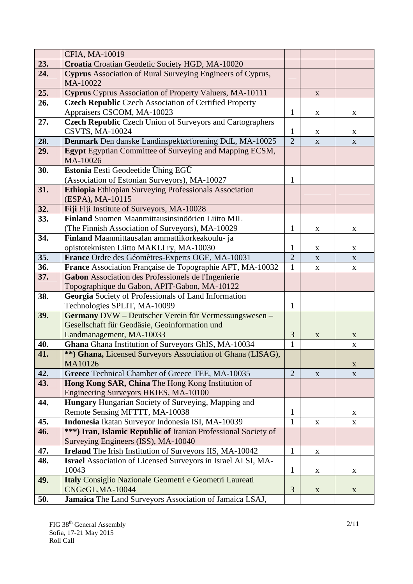|     | CFIA, MA-10019                                                                                      |                |             |             |
|-----|-----------------------------------------------------------------------------------------------------|----------------|-------------|-------------|
| 23. | Croatia Croatian Geodetic Society HGD, MA-10020                                                     |                |             |             |
| 24. | Cyprus Association of Rural Surveying Engineers of Cyprus,<br>MA-10022                              |                |             |             |
| 25. | Cyprus Cyprus Association of Property Valuers, MA-10111                                             |                | $\mathbf X$ |             |
| 26. | <b>Czech Republic</b> Czech Association of Certified Property                                       |                |             |             |
|     | Appraisers CSCOM, MA-10023                                                                          | 1              | $\mathbf X$ | X           |
| 27. | <b>Czech Republic Czech Union of Surveyors and Cartographers</b>                                    |                |             |             |
|     | <b>CSVTS, MA-10024</b>                                                                              | 1              | X           | X           |
| 28. | Denmark Den danske Landinspektørforening DdL, MA-10025                                              | $\overline{2}$ | $\mathbf X$ | $\mathbf X$ |
| 29. | Egypt Egyptian Committee of Surveying and Mapping ECSM,<br>MA-10026                                 |                |             |             |
| 30. | Estonia Eesti Geodeetide Ühing EGÜ                                                                  |                |             |             |
|     | (Association of Estonian Surveyors), MA-10027                                                       | 1              |             |             |
| 31. | <b>Ethiopia</b> Ethiopian Surveying Professionals Association                                       |                |             |             |
|     | (ESPA), MA-10115                                                                                    |                |             |             |
| 32. | Fiji Fiji Institute of Surveyors, MA-10028                                                          |                |             |             |
| 33. | Finland Suomen Maanmittausinsinöörien Liitto MIL                                                    |                |             |             |
|     | (The Finnish Association of Surveyors), MA-10029                                                    | 1              | X           | X           |
| 34. | Finland Maanmittausalan ammattikorkeakoulu- ja                                                      |                |             |             |
|     | opistoteknisten Liitto MAKLI ry, MA-10030                                                           | 1              | X           | X           |
| 35. | France Ordre des Géomètres-Experts OGE, MA-10031                                                    | $\overline{2}$ | $\mathbf X$ | $\mathbf X$ |
| 36. | France Association Française de Topographie AFT, MA-10032                                           | 1              | X           | $\mathbf X$ |
| 37. | Gabon Association des Professionels de l'Ingenierie<br>Topographique du Gabon, APIT-Gabon, MA-10122 |                |             |             |
| 38. | Georgia Society of Professionals of Land Information                                                |                |             |             |
|     | Technologies SPLIT, MA-10099                                                                        | 1              |             |             |
| 39. | Germany DVW - Deutscher Verein für Vermessungswesen -                                               |                |             |             |
|     | Gesellschaft für Geodäsie, Geoinformation und                                                       |                |             |             |
|     | Landmanagement, MA-10033                                                                            | 3              | $\mathbf X$ | X           |
| 40. | Ghana Ghana Institution of Surveyors GhIS, MA-10034                                                 | $\mathbf{1}$   |             | $\mathbf X$ |
| 41. | **) Ghana, Licensed Surveyors Association of Ghana (LISAG),                                         |                |             |             |
|     | MA10126                                                                                             |                |             | $\mathbf X$ |
| 42. | Greece Technical Chamber of Greece TEE, MA-10035                                                    | $\overline{2}$ | X           | X           |
| 43. | Hong Kong SAR, China The Hong Kong Institution of                                                   |                |             |             |
|     | Engineering Surveyors HKIES, MA-10100                                                               |                |             |             |
| 44. | <b>Hungary</b> Hungarian Society of Surveying, Mapping and                                          |                |             |             |
|     | Remote Sensing MFTTT, MA-10038                                                                      | 1              |             | X           |
| 45. | Indonesia Ikatan Surveyor Indonesia ISI, MA-10039                                                   | $\mathbf{1}$   | $\mathbf X$ | $\mathbf X$ |
| 46. | ***) Iran, Islamic Republic of Iranian Professional Society of                                      |                |             |             |
|     | Surveying Engineers (ISS), MA-10040                                                                 |                |             |             |
| 47. | Ireland The Irish Institution of Surveyors IIS, MA-10042                                            | $\mathbf{1}$   | X           |             |
| 48. | Israel Association of Licensed Surveyors in Israel ALSI, MA-                                        |                |             |             |
|     | 10043                                                                                               | $\mathbf{1}$   | X           | X           |
| 49. | Italy Consiglio Nazionale Geometri e Geometri Laureati<br>CNGeGL, MA-10044                          | 3              |             |             |
| 50. | Jamaica The Land Surveyors Association of Jamaica LSAJ,                                             |                | X           | X           |
|     |                                                                                                     |                |             |             |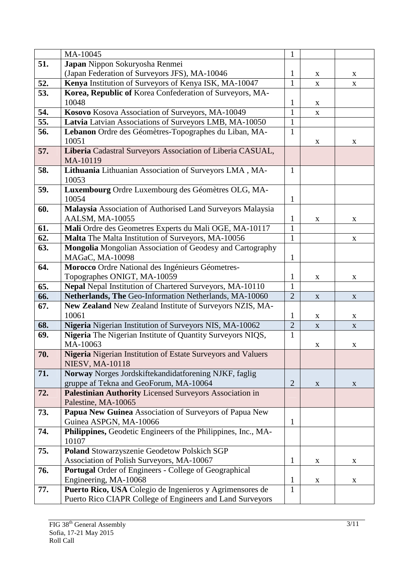|                  | MA-10045                                                         | $\mathbf{1}$   |             |             |
|------------------|------------------------------------------------------------------|----------------|-------------|-------------|
| 51.              | Japan Nippon Sokuryosha Renmei                                   |                |             |             |
|                  | (Japan Federation of Surveyors JFS), MA-10046                    | $\mathbf{1}$   | X           | X           |
| 52.              | Kenya Institution of Surveyors of Kenya ISK, MA-10047            | $\mathbf{1}$   | $\mathbf X$ | $\mathbf X$ |
| 53.              | Korea, Republic of Korea Confederation of Surveyors, MA-         |                |             |             |
|                  | 10048                                                            | 1              | $\mathbf X$ |             |
| 54.              | Kosovo Kosova Association of Surveyors, MA-10049                 | $\mathbf{1}$   | $\mathbf X$ |             |
| $\overline{5}5.$ | Latvia Latvian Associations of Surveyors LMB, MA-10050           | $\mathbf{1}$   |             |             |
| 56.              | Lebanon Ordre des Géomètres-Topographes du Liban, MA-            | $\mathbf{1}$   |             |             |
|                  | 10051                                                            |                | X           | X           |
| 57.              | Liberia Cadastral Surveyors Association of Liberia CASUAL,       |                |             |             |
|                  | MA-10119                                                         |                |             |             |
| 58.              | Lithuania Lithuanian Association of Surveyors LMA, MA-           | 1              |             |             |
|                  | 10053                                                            |                |             |             |
| 59.              | Luxembourg Ordre Luxembourg des Géomètres OLG, MA-               |                |             |             |
|                  | 10054                                                            | $\mathbf{1}$   |             |             |
| 60.              | Malaysia Association of Authorised Land Surveyors Malaysia       |                |             |             |
|                  | AALSM, MA-10055                                                  | 1              | $\mathbf X$ | X           |
| 61.              | Mali Ordre des Geometres Experts du Mali OGE, MA-10117           | $\mathbf{1}$   |             |             |
| 62.              | Malta The Malta Institution of Surveyors, MA-10056               | $\mathbf{1}$   |             | X           |
| 63.              | <b>Mongolia</b> Mongolian Association of Geodesy and Cartography |                |             |             |
|                  | MAGaC, MA-10098                                                  | $\mathbf{1}$   |             |             |
| 64.              | Morocco Ordre National des Ingénieurs Géometres-                 |                |             |             |
|                  | Topographes ONIGT, MA-10059                                      | 1              | $\mathbf X$ | X           |
| 65.              | Nepal Nepal Institution of Chartered Surveyors, MA-10110         | 1              |             |             |
| 66.              | Netherlands, The Geo-Information Netherlands, MA-10060           | $\overline{2}$ | X           | X           |
| 67.              | New Zealand New Zealand Institute of Surveyors NZIS, MA-         |                |             |             |
|                  | 10061                                                            | 1              | $\mathbf X$ | $\mathbf X$ |
| 68.              | Nigeria Nigerian Institution of Surveyors NIS, MA-10062          | $\overline{2}$ | X           | X           |
| 69.              | Nigeria The Nigerian Institute of Quantity Surveyors NIQS,       | 1              |             |             |
|                  | MA-10063                                                         |                | $\mathbf X$ | X           |
| 70.              | Nigeria Nigerian Institution of Estate Surveyors and Valuers     |                |             |             |
|                  | <b>NIESV, MA-10118</b>                                           |                |             |             |
| 71.              | Norway Norges Jordskiftekandidatforening NJKF, faglig            |                |             |             |
|                  | gruppe af Tekna and GeoForum, MA-10064                           | $\overline{2}$ | $\mathbf X$ | X           |
| 72.              | Palestinian Authority Licensed Surveyors Association in          |                |             |             |
|                  | Palestine, MA-10065                                              |                |             |             |
| 73.              | Papua New Guinea Association of Surveyors of Papua New           |                |             |             |
|                  | Guinea ASPGN, MA-10066                                           | 1              |             |             |
| 74.              | Philippines, Geodetic Engineers of the Philippines, Inc., MA-    |                |             |             |
|                  | 10107                                                            |                |             |             |
| 75.              | Poland Stowarzyszenie Geodetow Polskich SGP                      |                |             |             |
|                  | Association of Polish Surveyors, MA-10067                        | 1              | X           | X           |
| 76.              | Portugal Order of Engineers - College of Geographical            |                |             |             |
|                  | Engineering, MA-10068                                            | 1              | X           | $\mathbf X$ |
| 77.              | Puerto Rico, USA Colegio de Ingenieros y Agrimensores de         | 1              |             |             |
|                  | Puerto Rico CIAPR College of Engineers and Land Surveyors        |                |             |             |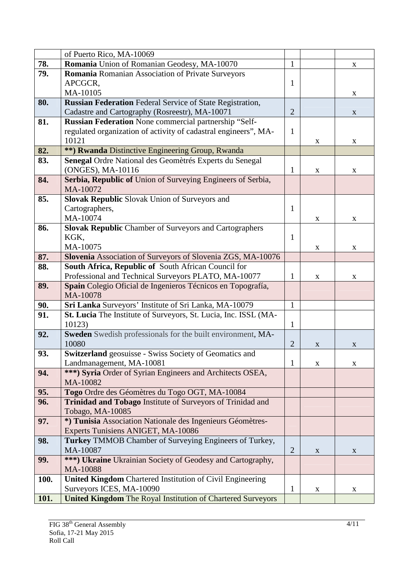|      | of Puerto Rico, MA-10069                                                                                    |                |             |   |
|------|-------------------------------------------------------------------------------------------------------------|----------------|-------------|---|
| 78.  | Romania Union of Romanian Geodesy, MA-10070                                                                 | $\mathbf{1}$   |             | X |
| 79.  | Romania Romanian Association of Private Surveyors                                                           |                |             |   |
|      | APCGCR,                                                                                                     | 1              |             |   |
|      | MA-10105                                                                                                    |                |             | X |
| 80.  | <b>Russian Federation</b> Federal Service of State Registration,                                            |                |             |   |
|      | Cadastre and Cartography (Rosreestr), MA-10071                                                              | $\overline{2}$ |             | X |
| 81.  | Russian Federation None commercial partnership "Self-                                                       |                |             |   |
|      | regulated organization of activity of cadastral engineers", MA-                                             | $\mathbf{1}$   |             |   |
|      | 10121                                                                                                       |                | X           | X |
| 82.  | **) Rwanda Distinctive Engineering Group, Rwanda                                                            |                |             |   |
| 83.  | Senegal Ordre National des Geomètrés Experts du Senegal                                                     |                |             |   |
|      | (ONGES), MA-10116                                                                                           | 1              | X           | X |
| 84.  | Serbia, Republic of Union of Surveying Engineers of Serbia,                                                 |                |             |   |
|      | MA-10072                                                                                                    |                |             |   |
| 85.  | Slovak Republic Slovak Union of Surveyors and                                                               |                |             |   |
|      | Cartographers,                                                                                              | 1              |             |   |
|      | MA-10074                                                                                                    |                | X           | X |
| 86.  | <b>Slovak Republic Chamber of Surveyors and Cartographers</b>                                               |                |             |   |
|      | KGK,                                                                                                        | 1              |             |   |
|      | MA-10075                                                                                                    |                | X           | X |
| 87.  | Slovenia Association of Surveyors of Slovenia ZGS, MA-10076                                                 |                |             |   |
| 88.  | South Africa, Republic of South African Council for<br>Professional and Technical Surveyors PLATO, MA-10077 | 1              |             |   |
| 89.  | Spain Colegio Oficial de Ingenieros Técnicos en Topografía,                                                 |                | X           | X |
|      | MA-10078                                                                                                    |                |             |   |
| 90.  | Sri Lanka Surveyors' Institute of Sri Lanka, MA-10079                                                       | $\mathbf{1}$   |             |   |
| 91.  | St. Lucia The Institute of Surveyors, St. Lucia, Inc. ISSL (MA-                                             |                |             |   |
|      | 10123)                                                                                                      | $\mathbf{1}$   |             |   |
| 92.  | Sweden Swedish professionals for the built environment, MA-                                                 |                |             |   |
|      | 10080                                                                                                       | $\overline{2}$ | X           | X |
| 93.  | Switzerland geosuisse - Swiss Society of Geomatics and                                                      |                |             |   |
|      | Landmanagement, MA-10081                                                                                    | 1              | $\mathbf X$ | X |
| 94.  | ***) Syria Order of Syrian Engineers and Architects OSEA,                                                   |                |             |   |
|      | MA-10082                                                                                                    |                |             |   |
| 95.  | Togo Ordre des Géomètres du Togo OGT, MA-10084                                                              |                |             |   |
| 96.  | <b>Trinidad and Tobago Institute of Surveyors of Trinidad and</b>                                           |                |             |   |
|      | Tobago, MA-10085                                                                                            |                |             |   |
| 97.  | *) Tunisia Association Nationale des Ingenieurs Géomètres-                                                  |                |             |   |
|      | Experts Tunisiens ANIGET, MA-10086                                                                          |                |             |   |
| 98.  | <b>Turkey TMMOB Chamber of Surveying Engineers of Turkey,</b>                                               |                |             |   |
|      | MA-10087                                                                                                    | $\overline{2}$ | X           | X |
| 99.  | ***) Ukraine Ukrainian Society of Geodesy and Cartography,                                                  |                |             |   |
|      | MA-10088                                                                                                    |                |             |   |
| 100. | United Kingdom Chartered Institution of Civil Engineering                                                   |                |             |   |
|      | Surveyors ICES, MA-10090                                                                                    | 1              | $\mathbf X$ | X |
| 101. | <b>United Kingdom The Royal Institution of Chartered Surveyors</b>                                          |                |             |   |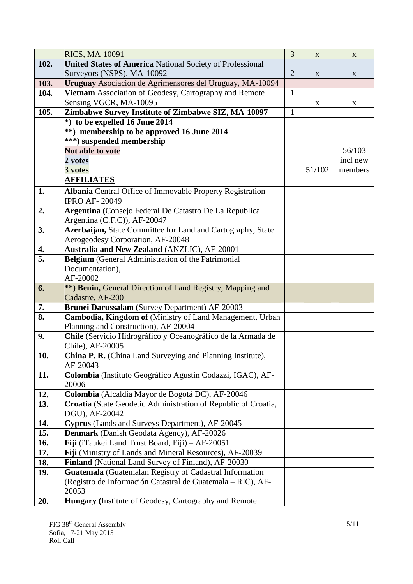|      | <b>RICS, MA-10091</b>                                                               | 3              | X           | $\mathbf{X}$ |
|------|-------------------------------------------------------------------------------------|----------------|-------------|--------------|
| 102. | <b>United States of America National Society of Professional</b>                    |                |             |              |
|      | Surveyors (NSPS), MA-10092                                                          | $\overline{2}$ | $\mathbf X$ | $\mathbf X$  |
| 103. | Uruguay Asociacion de Agrimensores del Uruguay, MA-10094                            |                |             |              |
| 104. | Vietnam Association of Geodesy, Cartography and Remote                              | $\mathbf{1}$   |             |              |
|      | Sensing VGCR, MA-10095                                                              |                | $\mathbf X$ | X            |
| 105. | Zimbabwe Survey Institute of Zimbabwe SIZ, MA-10097                                 | $\mathbf{1}$   |             |              |
|      | *) to be expelled 16 June 2014                                                      |                |             |              |
|      | **) membership to be approved 16 June 2014                                          |                |             |              |
|      | ***) suspended membership                                                           |                |             |              |
|      | Not able to vote                                                                    |                |             | 56/103       |
|      | 2 votes                                                                             |                |             | incl new     |
|      | 3 votes                                                                             |                | 51/102      | members      |
|      | <b>AFFILIATES</b>                                                                   |                |             |              |
| 1.   | Albania Central Office of Immovable Property Registration -<br><b>IPRO AF-20049</b> |                |             |              |
| 2.   | Argentina (Consejo Federal De Catastro De La Republica                              |                |             |              |
|      | Argentina (C.F.C)), AF-20047                                                        |                |             |              |
| 3.   | Azerbaijan, State Committee for Land and Cartography, State                         |                |             |              |
|      | Aerogeodesy Corporation, AF-20048                                                   |                |             |              |
| 4.   | Australia and New Zealand (ANZLIC), AF-20001                                        |                |             |              |
| 5.   | Belgium (General Administration of the Patrimonial                                  |                |             |              |
|      | Documentation),                                                                     |                |             |              |
|      | AF-20002                                                                            |                |             |              |
| 6.   | **) Benin, General Direction of Land Registry, Mapping and                          |                |             |              |
|      | Cadastre, AF-200                                                                    |                |             |              |
| 7.   | Brunei Darussalam (Survey Department) AF-20003                                      |                |             |              |
| 8.   | Cambodia, Kingdom of (Ministry of Land Management, Urban                            |                |             |              |
|      | Planning and Construction), AF-20004                                                |                |             |              |
| 9.   | Chile (Servicio Hidrográfico y Oceanográfico de la Armada de                        |                |             |              |
|      | Chile), AF-20005                                                                    |                |             |              |
| 10.  | China P. R. (China Land Surveying and Planning Institute),                          |                |             |              |
|      | AF-20043                                                                            |                |             |              |
| 11.  | Colombia (Instituto Geográfico Agustin Codazzi, IGAC), AF-<br>20006                 |                |             |              |
| 12.  | Colombia (Alcaldia Mayor de Bogotá DC), AF-20046                                    |                |             |              |
| 13.  | Croatia (State Geodetic Administration of Republic of Croatia,                      |                |             |              |
|      | DGU), AF-20042                                                                      |                |             |              |
| 14.  | Cyprus (Lands and Surveys Department), AF-20045                                     |                |             |              |
| 15.  | Denmark (Danish Geodata Agency), AF-20026                                           |                |             |              |
| 16.  | Fiji (iTaukei Land Trust Board, Fiji) - AF-20051                                    |                |             |              |
| 17.  | Fiji (Ministry of Lands and Mineral Resources), AF-20039                            |                |             |              |
| 18.  | Finland (National Land Survey of Finland), AF-20030                                 |                |             |              |
| 19.  | Guatemala (Guatemalan Registry of Cadastral Information                             |                |             |              |
|      | (Registro de Información Catastral de Guatemala – RIC), AF-                         |                |             |              |
|      | 20053                                                                               |                |             |              |
| 20.  | Hungary (Institute of Geodesy, Cartography and Remote                               |                |             |              |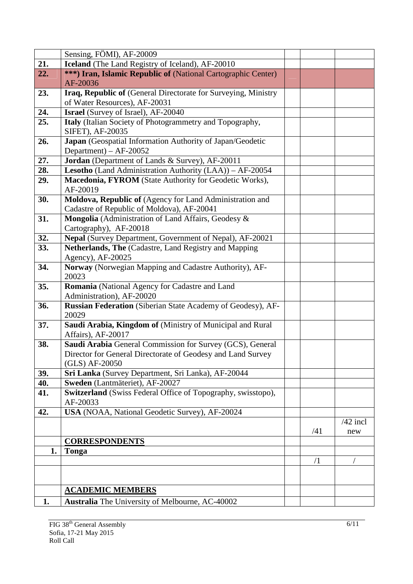|     | Sensing, FÖMI), AF-20009                                                     |     |            |
|-----|------------------------------------------------------------------------------|-----|------------|
| 21. | Iceland (The Land Registry of Iceland), AF-20010                             |     |            |
| 22. | ***) Iran, Islamic Republic of (National Cartographic Center)                |     |            |
|     | AF-20036                                                                     |     |            |
| 23. | Iraq, Republic of (General Directorate for Surveying, Ministry               |     |            |
|     | of Water Resources), AF-20031                                                |     |            |
| 24. | <b>Israel</b> (Survey of Israel), AF-20040                                   |     |            |
| 25. | Italy (Italian Society of Photogrammetry and Topography,<br>SIFET), AF-20035 |     |            |
| 26. | Japan (Geospatial Information Authority of Japan/Geodetic                    |     |            |
|     | Department) – $AF-20052$                                                     |     |            |
| 27. | Jordan (Department of Lands & Survey), AF-20011                              |     |            |
| 28. | Lesotho (Land Administration Authority (LAA)) - AF-20054                     |     |            |
| 29. | Macedonia, FYROM (State Authority for Geodetic Works),                       |     |            |
|     | AF-20019                                                                     |     |            |
| 30. | Moldova, Republic of (Agency for Land Administration and                     |     |            |
|     | Cadastre of Republic of Moldova), AF-20041                                   |     |            |
| 31. | Mongolia (Administration of Land Affairs, Geodesy &                          |     |            |
|     | Cartography), AF-20018                                                       |     |            |
| 32. | Nepal (Survey Department, Government of Nepal), AF-20021                     |     |            |
| 33. | Netherlands, The (Cadastre, Land Registry and Mapping                        |     |            |
|     | Agency), AF-20025                                                            |     |            |
| 34. | Norway (Norwegian Mapping and Cadastre Authority), AF-<br>20023              |     |            |
| 35. | Romania (National Agency for Cadastre and Land                               |     |            |
|     | Administration), AF-20020                                                    |     |            |
| 36. | Russian Federation (Siberian State Academy of Geodesy), AF-<br>20029         |     |            |
| 37. | Saudi Arabia, Kingdom of (Ministry of Municipal and Rural                    |     |            |
|     | Affairs), AF-20017                                                           |     |            |
| 38. | Saudi Arabia General Commission for Survey (GCS), General                    |     |            |
|     | Director for General Directorate of Geodesy and Land Survey                  |     |            |
|     | (GLS) AF-20050                                                               |     |            |
| 39. | Sri Lanka (Survey Department, Sri Lanka), AF-20044                           |     |            |
| 40. | Sweden (Lantmäteriet), AF-20027                                              |     |            |
| 41. | Switzerland (Swiss Federal Office of Topography, swisstopo),                 |     |            |
|     | AF-20033                                                                     |     |            |
| 42. | USA (NOAA, National Geodetic Survey), AF-20024                               |     |            |
|     |                                                                              |     | $/42$ incl |
|     |                                                                              | /41 | new        |
|     | <b>CORRESPONDENTS</b>                                                        |     |            |
| 1.  | Tonga                                                                        |     |            |
|     |                                                                              | /1  |            |
|     |                                                                              |     |            |
|     | <b>ACADEMIC MEMBERS</b>                                                      |     |            |
|     |                                                                              |     |            |
| 1.  | Australia The University of Melbourne, AC-40002                              |     |            |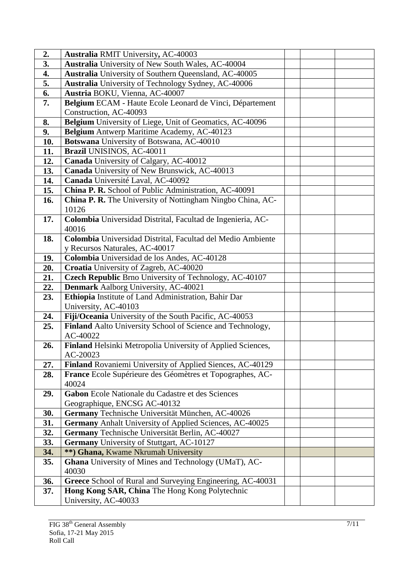| 2.  | <b>Australia RMIT University, AC-40003</b>                              |  |
|-----|-------------------------------------------------------------------------|--|
| 3.  | Australia University of New South Wales, AC-40004                       |  |
| 4.  | Australia University of Southern Queensland, AC-40005                   |  |
| 5.  | Australia University of Technology Sydney, AC-40006                     |  |
| 6.  | Austria BOKU, Vienna, AC-40007                                          |  |
| 7.  | Belgium ECAM - Haute Ecole Leonard de Vinci, Département                |  |
|     | Construction, AC-40093                                                  |  |
| 8.  | Belgium University of Liege, Unit of Geomatics, AC-40096                |  |
| 9.  | Belgium Antwerp Maritime Academy, AC-40123                              |  |
| 10. | Botswana University of Botswana, AC-40010                               |  |
| 11. | Brazil UNISINOS, AC-40011                                               |  |
| 12. | Canada University of Calgary, AC-40012                                  |  |
| 13. | Canada University of New Brunswick, AC-40013                            |  |
| 14. | Canada Université Laval, AC-40092                                       |  |
| 15. | China P. R. School of Public Administration, AC-40091                   |  |
| 16. | China P. R. The University of Nottingham Ningbo China, AC-              |  |
|     | 10126                                                                   |  |
| 17. | Colombia Universidad Distrital, Facultad de Ingenieria, AC-             |  |
|     | 40016                                                                   |  |
| 18. | Colombia Universidad Distrital, Facultad del Medio Ambiente             |  |
|     | y Recursos Naturales, AC-40017                                          |  |
| 19. | Colombia Universidad de los Andes, AC-40128                             |  |
| 20. | Croatia University of Zagreb, AC-40020                                  |  |
| 21. | Czech Republic Brno University of Technology, AC-40107                  |  |
| 22. | Denmark Aalborg University, AC-40021                                    |  |
| 23. | Ethiopia Institute of Land Administration, Bahir Dar                    |  |
|     | University, AC-40103                                                    |  |
| 24. | Fiji/Oceania University of the South Pacific, AC-40053                  |  |
| 25. | Finland Aalto University School of Science and Technology,              |  |
|     | AC-40022                                                                |  |
| 26. | Finland Helsinki Metropolia University of Applied Sciences,<br>AC-20023 |  |
| 27. | Finland Rovaniemi University of Applied Siences, AC-40129               |  |
| 28. | France Ecole Supérieure des Géomètres et Topographes, AC-               |  |
|     | 40024                                                                   |  |
| 29. | Gabon Ecole Nationale du Cadastre et des Sciences                       |  |
|     | Geographique, ENCSG AC-40132                                            |  |
| 30. | Germany Technische Universität München, AC-40026                        |  |
| 31. | Germany Anhalt University of Applied Sciences, AC-40025                 |  |
| 32. | Germany Technische Universität Berlin, AC-40027                         |  |
| 33. | Germany University of Stuttgart, AC-10127                               |  |
| 34. | **) Ghana, Kwame Nkrumah University                                     |  |
| 35. | <b>Ghana</b> University of Mines and Technology (UMaT), AC-             |  |
|     | 40030                                                                   |  |
| 36. | Greece School of Rural and Surveying Engineering, AC-40031              |  |
| 37. | Hong Kong SAR, China The Hong Kong Polytechnic                          |  |
|     | University, AC-40033                                                    |  |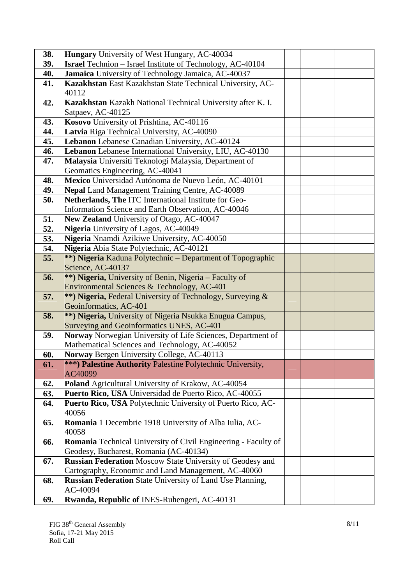| 38. | Hungary University of West Hungary, AC-40034                                                          |  |
|-----|-------------------------------------------------------------------------------------------------------|--|
| 39. | <b>Israel</b> Technion - Israel Institute of Technology, AC-40104                                     |  |
| 40. | Jamaica University of Technology Jamaica, AC-40037                                                    |  |
| 41. | Kazakhstan East Kazakhstan State Technical University, AC-                                            |  |
|     | 40112                                                                                                 |  |
| 42. | Kazakhstan Kazakh National Technical University after K. I.                                           |  |
|     | Satpaev, AC-40125                                                                                     |  |
| 43. | Kosovo University of Prishtina, AC-40116                                                              |  |
| 44. | Latvia Riga Technical University, AC-40090                                                            |  |
| 45. | Lebanon Lebanese Canadian University, AC-40124                                                        |  |
| 46. | Lebanon Lebanese International University, LIU, AC-40130                                              |  |
| 47. | Malaysia Universiti Teknologi Malaysia, Department of                                                 |  |
|     | Geomatics Engineering, AC-40041                                                                       |  |
| 48. | Mexico Universidad Autónoma de Nuevo León, AC-40101                                                   |  |
| 49. | Nepal Land Management Training Centre, AC-40089                                                       |  |
| 50. | Netherlands, The ITC International Institute for Geo-                                                 |  |
|     | Information Science and Earth Observation, AC-40046                                                   |  |
| 51. | New Zealand University of Otago, AC-40047                                                             |  |
| 52. | Nigeria University of Lagos, AC-40049                                                                 |  |
| 53. | Nigeria Nnamdi Azikiwe University, AC-40050                                                           |  |
| 54. | Nigeria Abia State Polytechnic, AC-40121                                                              |  |
| 55. | **) Nigeria Kaduna Polytechnic - Department of Topographic                                            |  |
|     | Science, AC-40137                                                                                     |  |
| 56. | **) Nigeria, University of Benin, Nigeria – Faculty of                                                |  |
|     | Environmental Sciences & Technology, AC-401                                                           |  |
| 57. | **) Nigeria, Federal University of Technology, Surveying &                                            |  |
|     | Geoinformatics, AC-401                                                                                |  |
| 58. | **) Nigeria, University of Nigeria Nsukka Enugua Campus,<br>Surveying and Geoinformatics UNES, AC-401 |  |
| 59. | Norway Norwegian University of Life Sciences, Department of                                           |  |
|     | Mathematical Sciences and Technology, AC-40052                                                        |  |
| 60. | Norway Bergen University College, AC-40113                                                            |  |
| 61. | ***) Palestine Authority Palestine Polytechnic University,                                            |  |
|     | AC40099                                                                                               |  |
| 62. | Poland Agricultural University of Krakow, AC-40054                                                    |  |
| 63. | Puerto Rico, USA Universidad de Puerto Rico, AC-40055                                                 |  |
| 64. | Puerto Rico, USA Polytechnic University of Puerto Rico, AC-                                           |  |
|     | 40056                                                                                                 |  |
| 65. | Romania 1 Decembrie 1918 University of Alba Iulia, AC-                                                |  |
|     | 40058                                                                                                 |  |
| 66. | Romania Technical University of Civil Engineering - Faculty of                                        |  |
|     | Geodesy, Bucharest, Romania (AC-40134)                                                                |  |
| 67. | <b>Russian Federation Moscow State University of Geodesy and</b>                                      |  |
|     | Cartography, Economic and Land Management, AC-40060                                                   |  |
| 68. | Russian Federation State University of Land Use Planning,                                             |  |
|     | AC-40094                                                                                              |  |
| 69. | Rwanda, Republic of INES-Ruhengeri, AC-40131                                                          |  |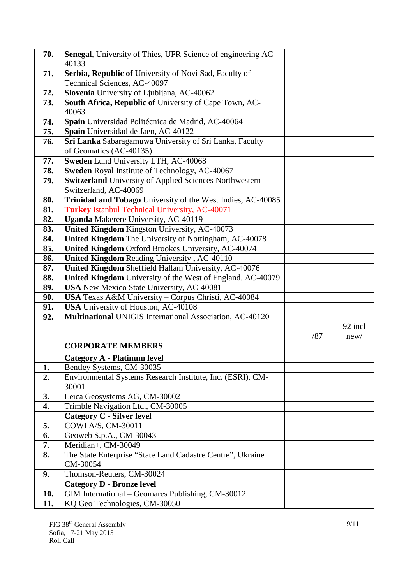| 70.        | Senegal, University of Thies, UFR Science of engineering AC-<br>40133                                   |     |         |
|------------|---------------------------------------------------------------------------------------------------------|-----|---------|
| 71.        | Serbia, Republic of University of Novi Sad, Faculty of                                                  |     |         |
|            | Technical Sciences, AC-40097                                                                            |     |         |
| 72.        | Slovenia University of Ljubljana, AC-40062                                                              |     |         |
| 73.        | South Africa, Republic of University of Cape Town, AC-                                                  |     |         |
|            | 40063                                                                                                   |     |         |
| 74.        | Spain Universidad Politécnica de Madrid, AC-40064                                                       |     |         |
| 75.        | Spain Universidad de Jaen, AC-40122                                                                     |     |         |
| 76.        | Sri Lanka Sabaragamuwa University of Sri Lanka, Faculty                                                 |     |         |
|            | of Geomatics (AC-40135)                                                                                 |     |         |
| 77.        | Sweden Lund University LTH, AC-40068                                                                    |     |         |
| 78.        | Sweden Royal Institute of Technology, AC-40067                                                          |     |         |
| 79.        | <b>Switzerland</b> University of Applied Sciences Northwestern                                          |     |         |
|            | Switzerland, AC-40069                                                                                   |     |         |
| 80.        | Trinidad and Tobago University of the West Indies, AC-40085                                             |     |         |
| 81.        | <b>Turkey Istanbul Technical University, AC-40071</b>                                                   |     |         |
| 82.        | <b>Uganda</b> Makerere University, AC-40119                                                             |     |         |
| 83.        | United Kingdom Kingston University, AC-40073                                                            |     |         |
| 84.        | United Kingdom The University of Nottingham, AC-40078                                                   |     |         |
| 85.        | United Kingdom Oxford Brookes University, AC-40074                                                      |     |         |
| 86.        | United Kingdom Reading University, AC-40110                                                             |     |         |
| 87.        | United Kingdom Sheffield Hallam University, AC-40076                                                    |     |         |
| 88.<br>89. | United Kingdom University of the West of England, AC-40079<br>USA New Mexico State University, AC-40081 |     |         |
| 90.        | USA Texas A&M University - Corpus Christi, AC-40084                                                     |     |         |
| 91.        | USA University of Houston, AC-40108                                                                     |     |         |
| 92.        | Multinational UNIGIS International Association, AC-40120                                                |     |         |
|            |                                                                                                         |     | 92 incl |
|            |                                                                                                         | /87 | new/    |
|            | <b>CORPORATE MEMBERS</b>                                                                                |     |         |
|            | <b>Category A - Platinum level</b>                                                                      |     |         |
| 1.         | Bentley Systems, CM-30035                                                                               |     |         |
| 2.         | Environmental Systems Research Institute, Inc. (ESRI), CM-                                              |     |         |
|            | 30001                                                                                                   |     |         |
| 3.         | Leica Geosystems AG, CM-30002                                                                           |     |         |
| 4.         | Trimble Navigation Ltd., CM-30005                                                                       |     |         |
|            | <b>Category C - Silver level</b>                                                                        |     |         |
| 5.         | COWI A/S, CM-30011                                                                                      |     |         |
| 6.         | Geoweb S.p.A., CM-30043                                                                                 |     |         |
| 7.         | Meridian+, CM-30049                                                                                     |     |         |
| 8.         | The State Enterprise "State Land Cadastre Centre", Ukraine                                              |     |         |
|            | CM-30054                                                                                                |     |         |
| 9.         | Thomson-Reuters, CM-30024                                                                               |     |         |
|            | <b>Category D - Bronze level</b>                                                                        |     |         |
| <b>10.</b> | GIM International – Geomares Publishing, CM-30012                                                       |     |         |
| 11.        | KQ Geo Technologies, CM-30050                                                                           |     |         |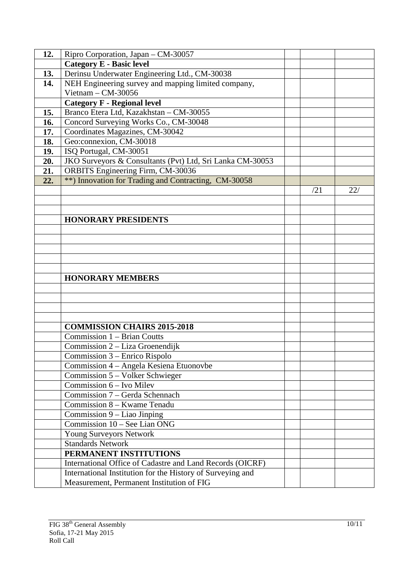| 12. | Ripro Corporation, Japan - CM-30057                        |     |     |
|-----|------------------------------------------------------------|-----|-----|
|     | <b>Category E - Basic level</b>                            |     |     |
| 13. | Derinsu Underwater Engineering Ltd., CM-30038              |     |     |
| 14. | NEH Engineering survey and mapping limited company,        |     |     |
|     | Vietnam $-$ CM-30056                                       |     |     |
|     | <b>Category F - Regional level</b>                         |     |     |
| 15. | Branco Etera Ltd, Kazakhstan - CM-30055                    |     |     |
| 16. | Concord Surveying Works Co., CM-30048                      |     |     |
| 17. | Coordinates Magazines, CM-30042                            |     |     |
| 18. | Geo:connexion, CM-30018                                    |     |     |
| 19. | ISQ Portugal, CM-30051                                     |     |     |
| 20. | JKO Surveyors & Consultants (Pvt) Ltd, Sri Lanka CM-30053  |     |     |
| 21. | ORBITS Engineering Firm, CM-30036                          |     |     |
| 22. | **) Innovation for Trading and Contracting, CM-30058       |     |     |
|     |                                                            | /21 | 22/ |
|     |                                                            |     |     |
|     |                                                            |     |     |
|     | <b>HONORARY PRESIDENTS</b>                                 |     |     |
|     |                                                            |     |     |
|     |                                                            |     |     |
|     |                                                            |     |     |
|     |                                                            |     |     |
|     |                                                            |     |     |
|     | <b>HONORARY MEMBERS</b>                                    |     |     |
|     |                                                            |     |     |
|     |                                                            |     |     |
|     |                                                            |     |     |
|     |                                                            |     |     |
|     | <b>COMMISSION CHAIRS 2015-2018</b>                         |     |     |
|     | Commission 1 – Brian Coutts                                |     |     |
|     | Commission 2 - Liza Groenendijk                            |     |     |
|     | Commission 3 - Enrico Rispolo                              |     |     |
|     | Commission 4 – Angela Kesiena Etuonovbe                    |     |     |
|     | Commission 5 – Volker Schwieger                            |     |     |
|     | Commission $6$ – Ivo Milev                                 |     |     |
|     | Commission 7 – Gerda Schennach                             |     |     |
|     | Commission 8 - Kwame Tenadu                                |     |     |
|     | Commission $9$ – Liao Jinping                              |     |     |
|     | Commission 10 - See Lian ONG                               |     |     |
|     | Young Surveyors Network                                    |     |     |
|     | <b>Standards Network</b>                                   |     |     |
|     | PERMANENT INSTITUTIONS                                     |     |     |
|     | International Office of Cadastre and Land Records (OICRF)  |     |     |
|     | International Institution for the History of Surveying and |     |     |
|     | Measurement, Permanent Institution of FIG                  |     |     |